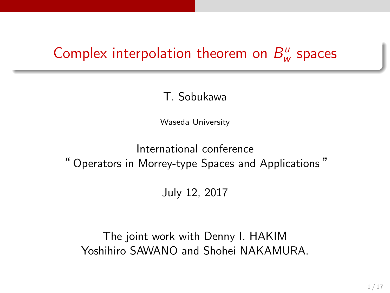#### Complex interpolation theorem on *B u w* spaces

### T. Sobukawa

Waseda University

International conference " Operators in Morrey-type Spaces and Applications "

July 12, 2017

The joint work with Denny I. HAKIM Yoshihiro SAWANO and Shohei NAKAMURA.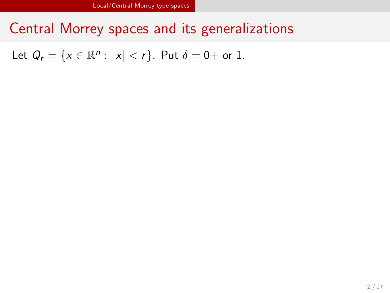Central Morrey spaces and its generalizations

Let  $Q_r = \{x \in \mathbb{R}^n : |x| < r\}$ . Put  $\delta = 0 +$  or 1.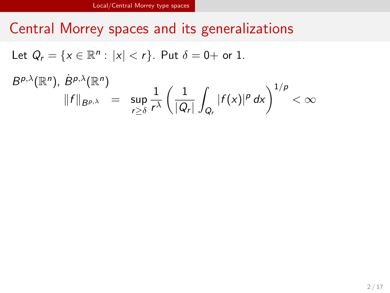# Central Morrey spaces and its generalizations

Let  $Q_r = \{x \in \mathbb{R}^n : |x| < r\}$ . Put  $\delta = 0 +$  or 1.

 $B^{p,\lambda}(\mathbb{R}^n)$ ,  $B^{p,\lambda}(\mathbb{R}^n)$ 

$$
\|f\|_{B^{p,\lambda}} = \sup_{r\geq \delta} \frac{1}{r^{\lambda}} \left(\frac{1}{|Q_r|} \int_{Q_r} |f(x)|^p dx\right)^{1/p} < \infty
$$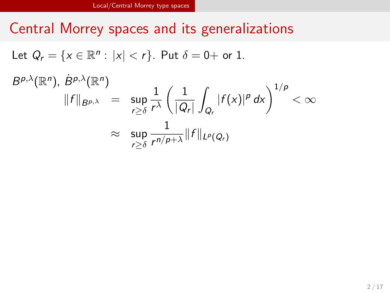# Central Morrey spaces and its generalizations

Let  $Q_r = \{x \in \mathbb{R}^n : |x| < r\}$ . Put  $\delta = 0 +$  or 1.

$$
B^{p,\lambda}(\mathbb{R}^n),\,B^{p,\lambda}(\mathbb{R}^n)
$$

$$
\begin{array}{rcl} \beta^{p,\chi}({\mathbb{R}}^n), \ B^{p,\chi}({\mathbb{R}}^n) & = & \displaystyle \sup_{r \geq \delta} \frac{1}{r^\lambda} \left( \frac{1}{|Q_r|} \int_{Q_r} |f(x)|^p \, dx \right)^{1/p} < \infty \\ & & \approx & \displaystyle \sup_{r \geq \delta} \frac{1}{r^{n/p+\lambda}} \|f\|_{L^p(Q_r)} \end{array}
$$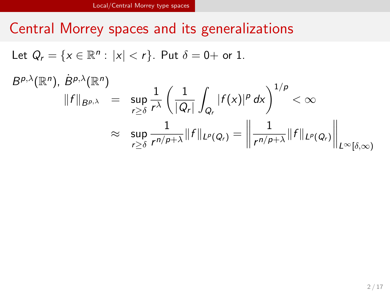# Central Morrey spaces and its generalizations

Let  $Q_r = \{x \in \mathbb{R}^n : |x| < r\}$ . Put  $\delta = 0 +$  or 1.

 $B^{p,\lambda}(\mathbb{R}^n)$ ,  $B^{p,\lambda}(\mathbb{R}^n)$ 

$$
\|f\|_{B^{p,\lambda}} = \sup_{r\geq \delta} \frac{1}{r^{\lambda}} \left(\frac{1}{|Q_r|} \int_{Q_r} |f(x)|^p dx\right)^{1/p} < \infty
$$
  

$$
\approx \sup_{r\geq \delta} \frac{1}{r^{n/p+\lambda}} \|f\|_{L^p(Q_r)} = \left\|\frac{1}{r^{n/p+\lambda}} \|f\|_{L^p(Q_r)}\right\|_{L^{\infty}[\delta,\infty)}
$$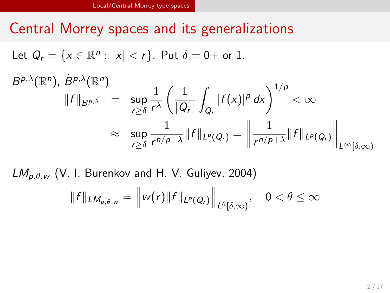# Central Morrey spaces and its generalizations

Let  $Q_r = \{x \in \mathbb{R}^n : |x| < r\}$ . Put  $\delta = 0 +$  or 1.

 $B^{p,\lambda}(\mathbb{R}^n)$ ,  $B^{p,\lambda}(\mathbb{R}^n)$ 

$$
\|f\|_{B^{p,\lambda}} = \sup_{r\geq \delta} \frac{1}{r^{\lambda}} \left(\frac{1}{|Q_r|} \int_{Q_r} |f(x)|^p dx\right)^{1/p} < \infty
$$
  

$$
\approx \sup_{r\geq \delta} \frac{1}{r^{n/p+\lambda}} \|f\|_{L^p(Q_r)} = \left\|\frac{1}{r^{n/p+\lambda}} \|f\|_{L^p(Q_r)}\right\|_{L^{\infty}[\delta,\infty)}
$$

*LMp,θ,<sup>w</sup>* (V. I. Burenkov and H. V. Guliyev, 2004)

$$
||f||_{LM_{p,\theta,w}} = ||w(r)||f||_{L^p(Q_r)}||_{L^{\theta}[\delta,\infty)}, \quad 0 < \theta \leq \infty
$$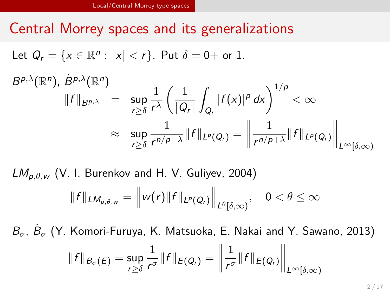# Central Morrey spaces and its generalizations

Let  $Q_r = \{x \in \mathbb{R}^n : |x| < r\}$ . Put  $\delta = 0 +$  or 1.

 $B^{p,\lambda}(\mathbb{R}^n)$ ,  $B^{p,\lambda}(\mathbb{R}^n)$ 

$$
\|f\|_{B^{p,\lambda}} = \sup_{r\geq \delta} \frac{1}{r^{\lambda}} \left(\frac{1}{|Q_r|} \int_{Q_r} |f(x)|^p dx\right)^{1/p} < \infty
$$
  

$$
\approx \sup_{r\geq \delta} \frac{1}{r^{n/p+\lambda}} \|f\|_{L^p(Q_r)} = \left\|\frac{1}{r^{n/p+\lambda}} \|f\|_{L^p(Q_r)}\right\|_{L^{\infty}[\delta,\infty)}
$$

*LMp,θ,<sup>w</sup>* (V. I. Burenkov and H. V. Guliyev, 2004)

$$
||f||_{LM_{p,\theta,w}} = ||w(r)||f||_{L^p(Q_r)}||_{L^{\theta}[\delta,\infty)}, \quad 0 < \theta \leq \infty
$$

*Bσ*, *B*˙ *<sup>σ</sup>* (Y. Komori-Furuya, K. Matsuoka, E. Nakai and Y. Sawano, 2013)

$$
||f||_{B_{\sigma}(E)} = \sup_{r \geq \delta} \frac{1}{r^{\sigma}} ||f||_{E(Q_r)} = \left\| \frac{1}{r^{\sigma}} ||f||_{E(Q_r)} \right\|_{L^{\infty}[\delta,\infty)}
$$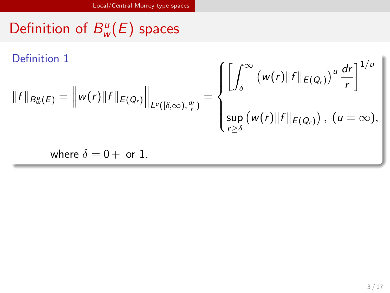#### Definition of *B u w* (*E*) spaces Definition 1  $||f||_{B_w^u(E)} = ||w(r)||f||_{E(Q_r)} ||_{L^u([\delta,\infty),\frac{dr}{r})} =$  $\sqrt{ }$  $\Big\}$  $\overline{\mathcal{L}}$ [∫ *<sup>∞</sup> δ*  $(w(r)$ *∥f*  $|E(Q_r)|$ <sup>*u*</sup>  $\frac{dr}{r}$ *r* ]1*/<sup>u</sup>* sup *r≥δ*  $(w(r)||f||_{E(Q_r)}), (u = \infty),$ where  $\delta = 0 + \text{ or } 1$ .

Local/Central Morrey type spaces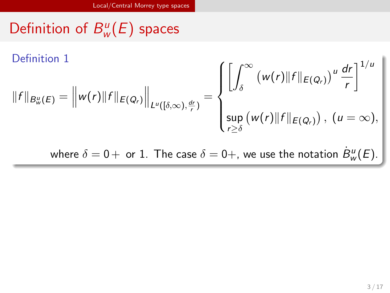Definition of *B u w* (*E*) spaces

Definition 1  
\n
$$
||f||_{B_w^u(E)} = ||w(r)||f||_{E(Q_r)}||_{L^u([\delta,\infty),\frac{dr}{r})} = \begin{cases} \left[ \int_{\delta}^{\infty} (w(r)||f||_{E(Q_r)})^u \frac{dr}{r} \right]^{1/u} \\ \sup_{r \ge \delta} (w(r)||f||_{E(Q_r)}), (u = \infty), \end{cases}
$$
\nwhere  $\delta = 0+$  or 1. The case  $\delta = 0+$ , we use the notation  $B_w^u(E)$ .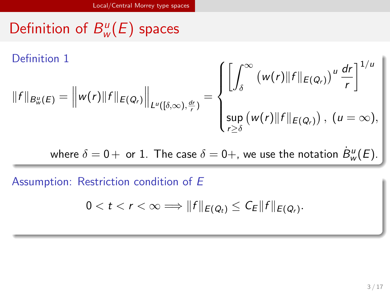Definition of *B u w* (*E*) spaces

Definition 1  
\n
$$
||f||_{B^u_w(E)} = ||w(r)||f||_{E(Q_r)}||_{L^u([\delta,\infty),\frac{dr}{r})} = \begin{cases} \left[ \int_{\delta}^{\infty} (w(r)||f||_{E(Q_r)})^u \frac{dr}{r} \right]^{1/u} \\ \sup_{r \ge \delta} (w(r)||f||_{E(Q_r)}), (u = \infty), \end{cases}
$$
\nwhere  $\delta = 0+$  or 1. The case  $\delta = 0+$ , we use the notation  $B^u_w(E)$ .

Assumption: Restriction condition of *E*

 $0 < t < r < \infty \Longrightarrow \|f\|_{E(Q_t)} \leq C_E \|f\|_{E(Q_r)}.$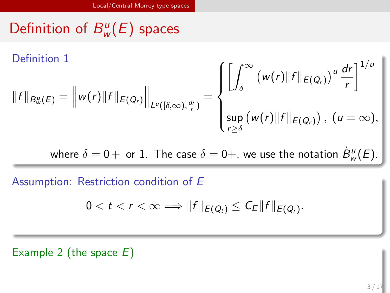Definition of *B u w* (*E*) spaces

Definition 1  
\n
$$
||f||_{B^u_w(E)} = ||w(r)||f||_{E(Q_r)}||_{L^u([\delta,\infty),\frac{dr}{r})} = \begin{cases}\n\left[\int_{\delta}^{\infty} (w(r)||f||_{E(Q_r)})^u \frac{dr}{r}\right]^{1/u} \\
\sup_{r \geq \delta} (w(r)||f||_{E(Q_r)}), (u = \infty),\n\end{cases}
$$

where  $\delta = 0+$  or  $1$ . The case  $\delta = 0+$ , we use the notation  $\dot{B}^u_w(E)$ .

Assumption: Restriction condition of *E*

 $0 < t < r < \infty \Longrightarrow \|f\|_{E(Q_t)} \leq C_E \|f\|_{E(Q_r)}.$ 

Example 2 (the space *E*)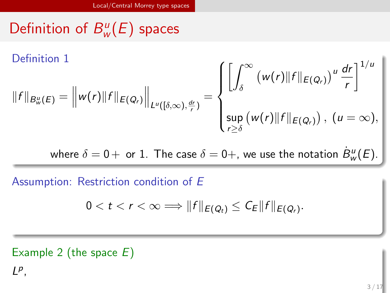Definition of *B u w* (*E*) spaces

Definition 1  
\n
$$
||f||_{B_w^u(E)} = ||w(r)||f||_{E(Q_r)}||_{L^u([\delta,\infty),\frac{dr}{r})} = \begin{cases}\n\left[\int_{\delta}^{\infty} (w(r)||f||_{E(Q_r)})^u \frac{dr}{r}\right]^{1/u} \\
\sup_{r \geq \delta} (w(r)||f||_{E(Q_r)}), (u = \infty),\n\end{cases}
$$

where  $\delta = 0+$  or  $1$ . The case  $\delta = 0+$ , we use the notation  $\dot{B}^u_w(E)$ .

Assumption: Restriction condition of *E*

 $0 < t < r < \infty \Longrightarrow \|f\|_{E(Q_t)} \leq C_E \|f\|_{E(Q_r)}.$ 

Example 2 (the space *E*) *L p* ,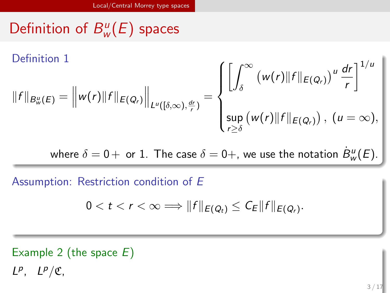Definition of *B u w* (*E*) spaces

Definition 1  
\n
$$
||f||_{B_w^u(E)} = ||w(r)||f||_{E(Q_r)}||_{L^u([\delta,\infty),\frac{dr}{r})} = \begin{cases}\n\left[\int_{\delta}^{\infty} (w(r)||f||_{E(Q_r)})^u \frac{dr}{r}\right]^{1/u} \\
\sup_{r \geq \delta} (w(r)||f||_{E(Q_r)}), (u = \infty),\n\end{cases}
$$

where  $\delta = 0+$  or  $1$ . The case  $\delta = 0+$ , we use the notation  $\dot{B}^u_w(E)$ .

Assumption: Restriction condition of *E*

 $0 < t < r < \infty \Longrightarrow \|f\|_{E(Q_t)} \leq C_E \|f\|_{E(Q_r)}.$ 

Example 2 (the space *E*)  $L^p$ ,  $L^p/\mathfrak{C}$ ,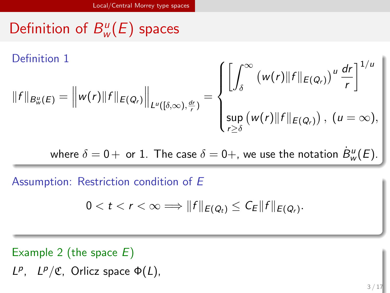Definition of *B u w* (*E*) spaces

Definition 1  
\n
$$
||f||_{B_w^u(E)} = ||w(r)||f||_{E(Q_r)}||_{L^u([\delta,\infty),\frac{dr}{r})} = \begin{cases} \left[ \int_{\delta}^{\infty} (w(r)||f||_{E(Q_r)})^u \frac{dr}{r} \right]^{1/u} \\ \sup_{r \ge \delta} (w(r)||f||_{E(Q_r)}), (u = \infty), \end{cases}
$$

where  $\delta = 0+$  or  $1$ . The case  $\delta = 0+$ , we use the notation  $\dot{B}^u_w(E)$ .

Assumption: Restriction condition of *E*

 $0 < t < r < \infty \Longrightarrow \|f\|_{E(Q_t)} \leq C_E \|f\|_{E(Q_r)}.$ 

### Example 2 (the space *E*)

*L*<sup>*p*</sup>, *L*<sup>*p*</sup>/**C**, Orlicz space  $Φ(L)$ ,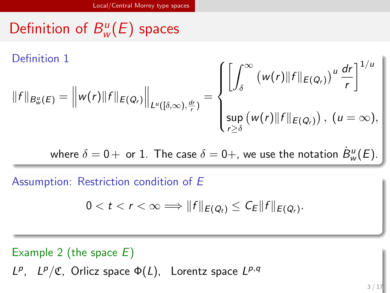Definition of *B u w* (*E*) spaces

Definition 1

$$
||f||_{B^u_w(E)} = ||w(r)||f||_{E(Q_r)}||_{L^u([\delta,\infty),\frac{dr}{r})} = \begin{cases} \left[ \int_{\delta}^{\infty} (w(r)||f||_{E(Q_r)})^u \frac{dr}{r} \right]^{1/u} \\ \sup_{r \ge \delta} (w(r)||f||_{E(Q_r)}), (u = \infty), \end{cases}
$$

where  $\delta = 0+$  or  $1$ . The case  $\delta = 0+$ , we use the notation  $\dot{B}^u_w(E)$ .

Assumption: Restriction condition of *E*

 $0 < t < r < \infty \Longrightarrow \|f\|_{E(Q_t)} \leq C_E \|f\|_{E(Q_r)}.$ 

Example 2 (the space *E*)

*L*<sup>*p*</sup>, *L*<sup>*p*</sup>/**C**, Orlicz space Φ(*L*), Lorentz space *L*<sup>*p*</sup>,*q*</sub>

 $3 / 17$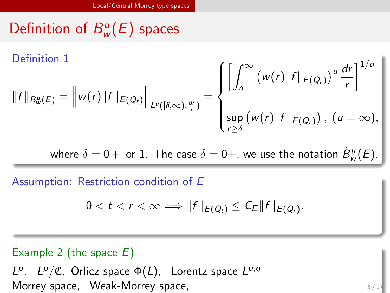Definition of *B u w* (*E*) spaces

Definition 1

$$
||f||_{B_{w}^{u}(E)} = ||w(r)||f||_{E(Q_{r})}||_{L^{u}([\delta,\infty),\frac{dr}{r})} = \begin{cases} \left[ \int_{\delta}^{\infty} (w(r)||f||_{E(Q_{r})})^{u} \frac{dr}{r} \right]^{1/u} \\ \sup_{r \geq \delta} (w(r)||f||_{E(Q_{r})}), (u = \infty), \end{cases}
$$

where  $\delta = 0+$  or  $1$ . The case  $\delta = 0+$ , we use the notation  $\dot{B}^u_w(E)$ .

Assumption: Restriction condition of *E*

 $0 < t < r < \infty \Longrightarrow \|f\|_{E(Q_t)} \leq C_E \|f\|_{E(Q_r)}.$ 

### Example 2 (the space *E*)

*L*<sup>*p*</sup>, *L*<sup>*p*</sup>/**C**, Orlicz space Φ(*L*), Lorentz space *L*<sup>*p*</sup>,*q*</sub> Morrey space, Weak-Morrey space,

3 / 17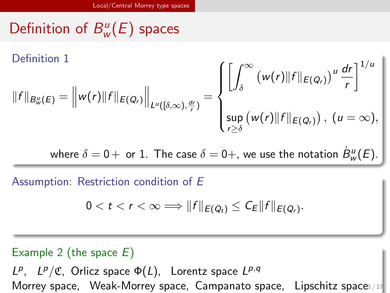Definition of *B u w* (*E*) spaces

Definition 1

$$
||f||_{B_{w}^{u}(E)} = ||w(r)||f||_{E(Q_{r})}||_{L^{u}([\delta,\infty),\frac{dr}{r})} = \begin{cases} \left[ \int_{\delta}^{\infty} (w(r)||f||_{E(Q_{r})})^{u} \frac{dr}{r} \right]^{1/u} \\ \sup_{r \geq \delta} (w(r)||f||_{E(Q_{r})}), (u = \infty), \end{cases}
$$

where  $\delta = 0+$  or  $1$ . The case  $\delta = 0+$ , we use the notation  $\dot{B}^u_w(E)$ .

Assumption: Restriction condition of *E*

 $0 < t < r < \infty \Longrightarrow \|f\|_{E(Q_t)} \leq C_E \|f\|_{E(Q_r)}.$ 

### Example 2 (the space *E*)

*L*<sup>*p*</sup>, *L*<sup>*p*</sup>/**C**, Orlicz space Φ(*L*), Lorentz space *L*<sup>*p*</sup>,*q*</sub> Morrey space, Weak-Morrey space, Campanato space, Lipschitz space3/17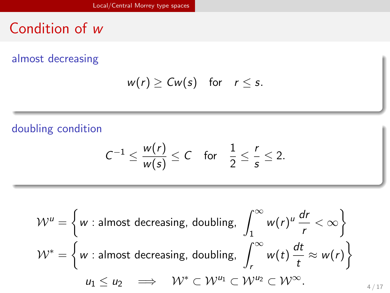Condition of *w*

almost decreasing

$$
w(r) \geq Cw(s) \quad \text{for} \quad r \leq s.
$$

doubling condition

$$
C^{-1} \leq \frac{w(r)}{w(s)} \leq C \quad \text{for} \quad \frac{1}{2} \leq \frac{r}{s} \leq 2.
$$

$$
\mathcal{W}^{u} = \left\{ w : \text{almost decreasing, doubling, } \int_{1}^{\infty} w(r)^{u} \frac{dr}{r} < \infty \right\}
$$
  

$$
\mathcal{W}^{*} = \left\{ w : \text{almost decreasing, doubling, } \int_{r}^{\infty} w(t) \frac{dt}{t} \approx w(r) \right\}
$$
  

$$
u_{1} \le u_{2} \implies \mathcal{W}^{*} \subset \mathcal{W}^{u_{1}} \subset \mathcal{W}^{u_{2}} \subset \mathcal{W}^{\infty}.
$$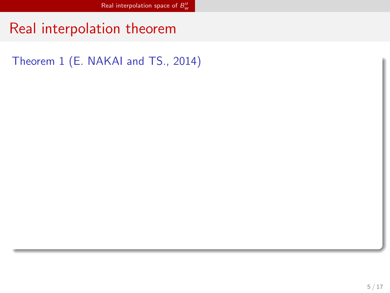Real interpolation theorem

Theorem 1 (E. NAKAI and TS., 2014)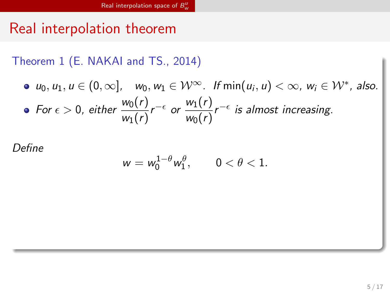# Real interpolation theorem

Theorem 1 (E. NAKAI and TS., 2014)

\n- $$
u_0, u_1, u \in (0, \infty]
$$
,  $w_0, w_1 \in \mathcal{W}^{\infty}$ . If  $\min(u_i, u) < \infty$ ,  $w_i \in \mathcal{W}^*$ , also.
\n- For  $\epsilon > 0$ , either  $\frac{w_0(r)}{w_1(r)} r^{-\epsilon}$  or  $\frac{w_1(r)}{w_0(r)} r^{-\epsilon}$  is almost increasing.
\n

*Define*

$$
w=w_0^{1-\theta}w_1^{\theta},\qquad 0<\theta<1.
$$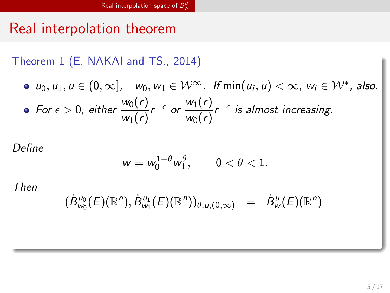# Real interpolation theorem

Theorem 1 (E. NAKAI and TS., 2014)

\n- $$
u_0, u_1, u \in (0, \infty]
$$
,  $w_0, w_1 \in \mathcal{W}^{\infty}$ . If  $\min(u_i, u) < \infty$ ,  $w_i \in \mathcal{W}^*$ , also.
\n- For  $\epsilon > 0$ , either  $\frac{w_0(r)}{w_1(r)} r^{-\epsilon}$  or  $\frac{w_1(r)}{w_0(r)} r^{-\epsilon}$  is almost increasing.
\n

*Define*

$$
w=w_0^{1-\theta}w_1^{\theta}, \qquad 0<\theta<1.
$$

*Then*

$$
(\dot{B}^{u_0}_{w_0}(E)(\mathbb{R}^n), \dot{B}^{u_1}_{w_1}(E)(\mathbb{R}^n))_{\theta, u, (0,\infty)} = \dot{B}^{u}_{w}(E)(\mathbb{R}^n)
$$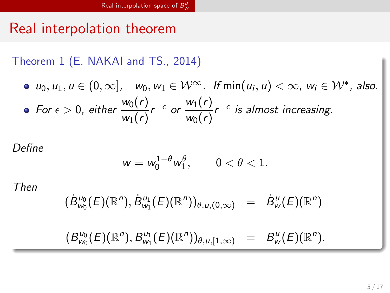# Real interpolation theorem

Theorem 1 (E. NAKAI and TS., 2014)

\n- $$
u_0, u_1, u \in (0, \infty]
$$
,  $w_0, w_1 \in \mathcal{W}^{\infty}$ . If  $\min(u_i, u) < \infty$ ,  $w_i \in \mathcal{W}^*$ , also.
\n- For  $\epsilon > 0$ , either  $\frac{w_0(r)}{w_1(r)} r^{-\epsilon}$  or  $\frac{w_1(r)}{w_0(r)} r^{-\epsilon}$  is almost increasing.
\n

*Define*

$$
w=w_0^{1-\theta}w_1^{\theta}, \qquad 0<\theta<1.
$$

*Then*

$$
(B^{\mu_0}_{w_0}(E)(\mathbb{R}^n), B^{\mu_1}_{w_1}(E)(\mathbb{R}^n))_{\theta,u,(0,\infty)} = B^{\mu}_{w}(E)(\mathbb{R}^n)
$$

 $(B_{w_0}^{u_0}(E)(\mathbb{R}^n), B_{w_1}^{u_1}(E)(\mathbb{R}^n))_{\theta, u, [1,\infty)} = B_{w}^{u}(E)(\mathbb{R}^n).$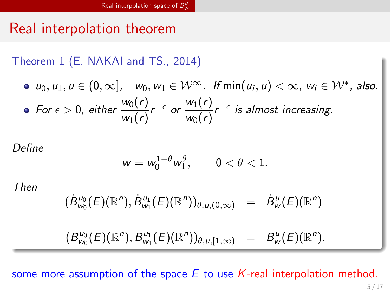# Real interpolation theorem

Theorem 1 (E. NAKAI and TS., 2014)

\n- $$
u_0, u_1, u \in (0, \infty]
$$
,  $w_0, w_1 \in \mathcal{W}^{\infty}$ . If  $\min(u_i, u) < \infty$ ,  $w_i \in \mathcal{W}^*$ , also.
\n- For  $\epsilon > 0$ , either  $\frac{w_0(r)}{w_1(r)} r^{-\epsilon}$  or  $\frac{w_1(r)}{w_0(r)} r^{-\epsilon}$  is almost increasing.
\n

*Define*

$$
w=w_0^{1-\theta}w_1^{\theta}, \qquad 0<\theta<1.
$$

*Then*

$$
(\dot{B}^{\mu_0}_{w_0}(E)(\mathbb{R}^n), \dot{B}^{\mu_1}_{w_1}(E)(\mathbb{R}^n))_{\theta, u, (0,\infty)} = \dot{B}^{\mu}_{w}(E)(\mathbb{R}^n)
$$

$$
(B^{\mu_0}_{w_0}(E)(\mathbb{R}^n),B^{\mu_1}_{w_1}(E)(\mathbb{R}^n))_{\theta,u,[1,\infty)} = B^u_w(E)(\mathbb{R}^n).
$$

some more assumption of the space *E* to use *K*-real interpolation method.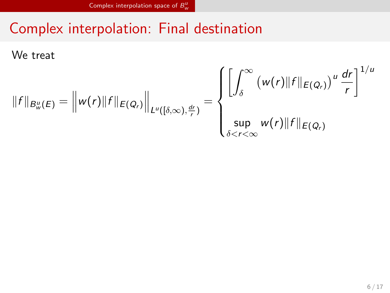Complex interpolation: Final destination

We treat

$$
||f||_{B^u_w(E)} = ||w(r)||f||_{E(Q_r)}||_{L^u([\delta,\infty),\frac{dr}{r})} = \begin{cases} \left[ \int_{\delta}^{\infty} (w(r)||f||_{E(Q_r)})^u \frac{dr}{r} \right]^{1/u} \\ \sup_{\delta < r < \infty} w(r)||f||_{E(Q_r)} \end{cases}
$$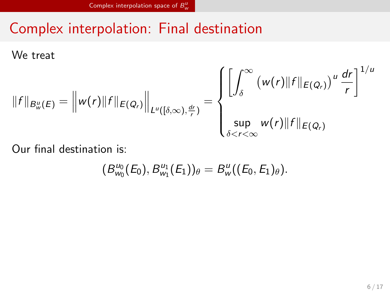# Complex interpolation: Final destination

We treat

$$
||f||_{B^u_w(E)} = ||w(r)||f||_{E(Q_r)}||_{L^u([\delta,\infty),\frac{dr}{r})} = \begin{cases} \left[ \int_{\delta}^{\infty} (w(r)||f||_{E(Q_r)})^u \frac{dr}{r} \right]^{1/u} \\ \sup_{\delta < r < \infty} w(r)||f||_{E(Q_r)} \end{cases}
$$

Our final destination is:

$$
(B^{\mu_0}_{w_0}(E_0),B^{\mu_1}_{w_1}(E_1))_{\theta}=B^{\mu}_{w}((E_0,E_1)_{\theta}).
$$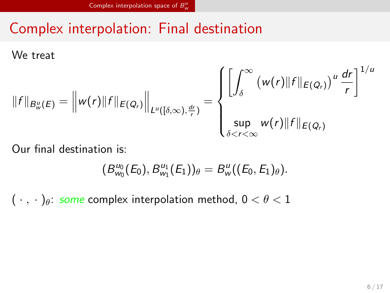# Complex interpolation: Final destination

We treat

$$
||f||_{B^u_w(E)} = ||w(r)||f||_{E(Q_r)}||_{L^u([\delta,\infty),\frac{dr}{r})} = \begin{cases} \left[ \int_{\delta}^{\infty} (w(r)||f||_{E(Q_r)})^u \frac{dr}{r} \right]^{1/u} \\ \sup_{\delta < r < \infty} w(r)||f||_{E(Q_r)} \end{cases}
$$

Our final destination is:

$$
(B_{w_0}^{u_0}(E_0),B_{w_1}^{u_1}(E_1))_{\theta}=B_{w}^{u}((E_0,E_1)_{\theta}).
$$

 $(\cdot, \cdot)_{\theta}$ : *some* complex interpolation method,  $0 < \theta < 1$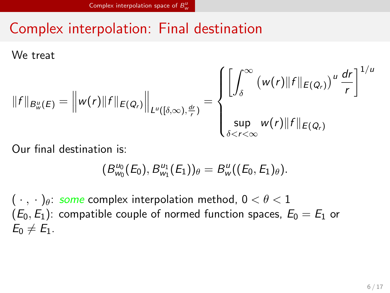# Complex interpolation: Final destination

We treat

$$
||f||_{B^u_w(E)} = ||w(r)||f||_{E(Q_r)}||_{L^u([\delta,\infty),\frac{dr}{r})} = \begin{cases} \left[ \int_{\delta}^{\infty} (w(r)||f||_{E(Q_r)})^u \frac{dr}{r} \right]^{1/u} \\ \sup_{\delta < r < \infty} w(r)||f||_{E(Q_r)} \end{cases}
$$

Our final destination is:

$$
(B_{w_0}^{u_0}(E_0),B_{w_1}^{u_1}(E_1))_{\theta}=B_{w}^{u}((E_0,E_1)_{\theta}).
$$

( *· , ·* )*θ*: *some* complex interpolation method, 0 *< θ <* 1  $(E_0,E_1)$ : compatible couple of normed function spaces,  $E_0 = E_1$  or  $E_0 \neq E_1$ .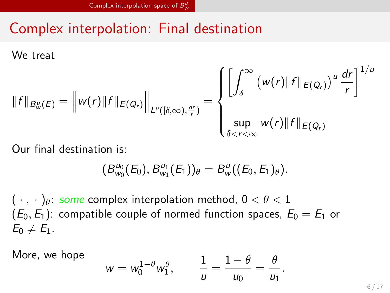# Complex interpolation: Final destination

We treat

$$
||f||_{B^u_w(E)} = ||w(r)||f||_{E(Q_r)}||_{L^u([\delta,\infty),\frac{dr}{r})} = \begin{cases} \left[ \int_{\delta}^{\infty} (w(r)||f||_{E(Q_r)})^u \frac{dr}{r} \right]^{1/u} \\ \sup_{\delta < r < \infty} w(r)||f||_{E(Q_r)} \end{cases}
$$

Our final destination is:

$$
(B_{w_0}^{u_0}(E_0),B_{w_1}^{u_1}(E_1))_{\theta}=B_{w}^{u}((E_0,E_1)_{\theta}).
$$

( *· , ·* )*θ*: *some* complex interpolation method, 0 *< θ <* 1  $(E_0,E_1)$ : compatible couple of normed function spaces,  $E_0 = E_1$  or  $E_0 \neq E_1$ .

More, we hope

$$
w=w_0^{1-\theta}w_1^{\theta}, \qquad \frac{1}{u}=\frac{1-\theta}{u_0}=\frac{\theta}{u_1}.
$$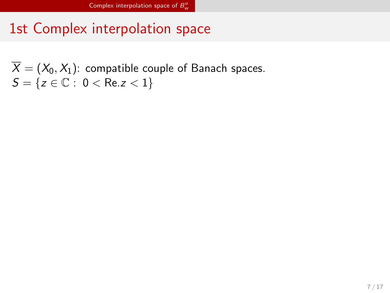# 1st Complex interpolation space

 $X=(X_{0},X_{1})$ : compatible couple of Banach spaces.  $\mathcal{S} = \{ \mathsf{z} \in \mathbb{C}: \ 0 < \mathsf{Re} . \mathsf{z} < 1 \}$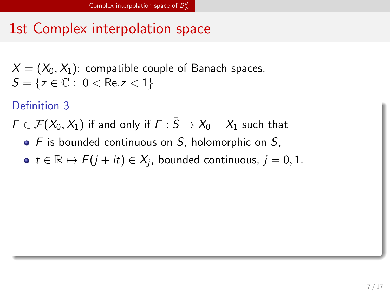## 1st Complex interpolation space

 $\overline{X} = (X_0, X_1)$ : compatible couple of Banach spaces.  $S = \{ z \in \mathbb{C} : 0 < \text{Re} z < 1 \}$ 

### Definition 3

 $F \in \mathcal{F}(X_0, X_1)$  if and only if  $F : \overline{S} \to X_0 + X_1$  such that

- $\bullet$  *F* is bounded continuous on  $\overline{S}$ , holomorphic on *S*,
- *t* ∈  $\mathbb{R} \mapsto$  *F*(*j* + *it*) ∈ *X<sub>j</sub>*, bounded continuous, *j* = 0,1.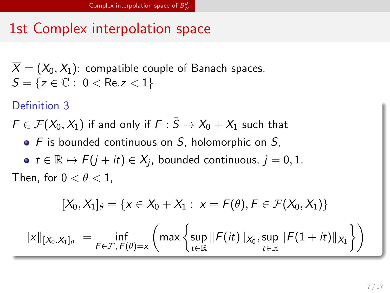## 1st Complex interpolation space

 $\overline{X} = (X_0, X_1)$ : compatible couple of Banach spaces.  $S = \{ z \in \mathbb{C} : 0 < \text{Re} z < 1 \}$ 

### Definition 3

 $F \in \mathcal{F}(X_0, X_1)$  if and only if  $F : \overline{S} \to X_0 + X_1$  such that

- $\bullet$  *F* is bounded continuous on  $\overline{S}$ , holomorphic on *S*,
- *t* ∈  $\mathbb{R} \mapsto$  *F*(*j* + *it*) ∈ *X<sub>j</sub>*, bounded continuous, *j* = 0,1.

Then, for  $0 < \theta < 1$ ,

$$
[X_0,X_1]_\theta=\{x\in X_0+X_1:\ x=F(\theta), F\in \mathcal{F}(X_0,X_1)\}
$$

 $||x||_{[X_0, X_1]_\theta} = \inf_{F \in \mathcal{F}, F(\theta) = x}$  $\int$  max  $\int$  sup  $\sup_{t \in \mathbb{R}}$   $\|F(it)\|_{X_0},$   $\sup_{t \in \mathbb{R}}$  $\sup_{t \in \mathbb{R}} \| F(1+it) \|_{X_1}$  $\bigwedge$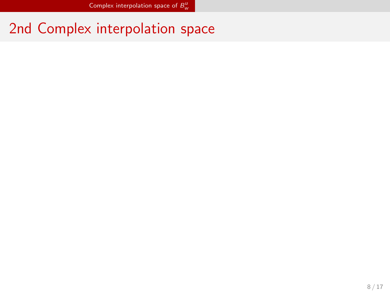2nd Complex interpolation space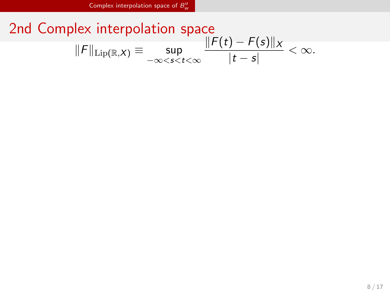2nd Complex interpolation space *∣* $\|F\|_{\text{Lip}(\mathbb{R},X)} \equiv \sup_{-\infty < s < t < \infty}$ *∥F*(*t*) *− F*(*s*)*∥<sup>X</sup>*  $\frac{|t - s|}{|t - s|} < \infty$ .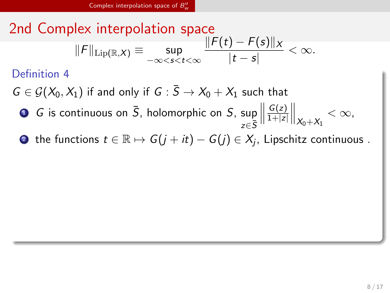2nd Complex interpolation space

\n
$$
\|F\|_{\text{Lip}(\mathbb{R},X)} \equiv \sup_{-\infty < s < t < \infty} \frac{\|F(t) - F(s)\|_X}{|t - s|} < \infty.
$$
\nDefinition 4

\n
$$
G \in \mathcal{G}(X_0, X_1) \text{ if and only if } G: \overline{S} \to X_0 + X_1 \text{ such that}
$$
\n\nOf is continuous on  $\overline{S}$ , holomorphic on  $S$ ,  $\sup_{z \in \overline{S}} \left\| \frac{G(z)}{1 + |z|} \right\|_{X_0 + X_1} < \infty$ ,

\nOn the functions  $t \in \mathbb{R} \mapsto G(j + it) - G(j) \in X_j$ , Lipschitz continuous.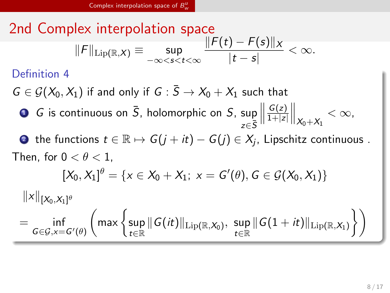2nd Complex interpolation space  
\n
$$
||F||_{\text{Lip}(\mathbb{R},X)} \equiv \sup_{-\infty < s < t < \infty} \frac{||F(t) - F(s)||_X}{|t - s|} < \infty.
$$
\nDefinition 4  
\n
$$
G \in \mathcal{G}(X_0, X_1) \text{ if and only if } G : \overline{S} \to X_0 + X_1 \text{ such that}
$$
\n**0** *G* is continuous on  $\overline{S}$ , holomorphic on *S*,  $\sup_{z \in \overline{S}} \left\| \frac{G(z)}{1 + |z|} \right\|_{X_0 + X_1} < \infty$ ,  
\n**0** the functions  $t \in \mathbb{R} \mapsto G(j + it) - G(j) \in X_j$ , Lipschitz continuous.  
\nThen, for  $0 < \theta < 1$ ,  
\n
$$
[X_0, X_1]^{\theta} = \{x \in X_0 + X_1; x = G'(\theta), G \in \mathcal{G}(X_0, X_1)\}
$$
\n
$$
||x||_{[X_0, X_1]^{\theta}}
$$
\n
$$
= \inf_{G \in \mathcal{G}, x = G'(\theta)} \left( \max \left\{ \sup_{t \in \mathbb{R}} ||G(it)||_{\text{Lip}(\mathbb{R}, X_0)}, \sup_{t \in \mathbb{R}} ||G(1 + it)||_{\text{Lip}(\mathbb{R}, X_1)} \right\} \right)
$$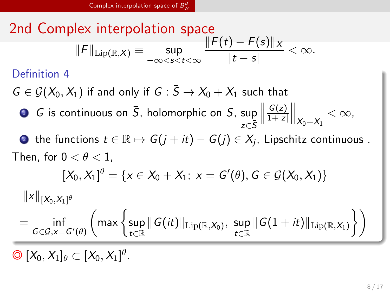2nd Complex interpolation space

\n
$$
||F||_{\text{Lip}(\mathbb{R},X)} \equiv \sup_{-\infty < s < t < \infty} \frac{||F(t) - F(s)||_X}{|t - s|} < \infty.
$$
\nDefinition 4

\n
$$
G \in \mathcal{G}(X_0, X_1) \text{ if and only if } G : \overline{S} \to X_0 + X_1 \text{ such that}
$$
\n\nOf is continuous on  $\overline{S}$ , holomorphic on  $S$ ,  $\sup_{z \in \overline{S}} \left\| \frac{G(z)}{1 + |z|} \right\|_{X_0 + X_1} < \infty$ ,

\nOn the functions  $t \in \mathbb{R} \mapsto G(j + it) - G(j) \in X_j$ , Lipschitz continuous.

\nThen, for  $0 < \theta < 1$ ,

\n
$$
[X_0, X_1]^{\theta} = \{x \in X_0 + X_1; \ x = G'(\theta), G \in \mathcal{G}(X_0, X_1)\}
$$
\n
$$
||x||_{[X_0, X_1]^{\theta}}
$$
\n
$$
= \inf_{G \in \mathcal{G}, x = G'(\theta)} \left( \max \left\{ \sup_{t \in \mathbb{R}} ||G(it)||_{\text{Lip}(\mathbb{R}, X_0)}, \sup_{t \in \mathbb{R}} ||G(1 + it)||_{\text{Lip}(\mathbb{R}, X_1)} \right\} \right)
$$

◎ [*X*0*, X*1]*<sup>θ</sup> ⊂* [*X*0*, X*1] *θ* .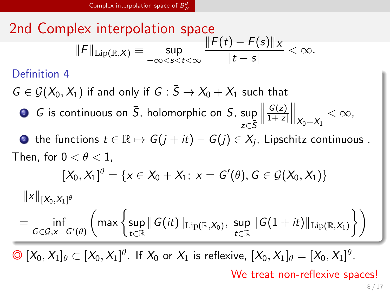2nd Complex interpolation space

\n
$$
||F||_{\text{Lip}(\mathbb{R},X)} \equiv \sup_{-\infty < s < t < \infty} \frac{||F(t) - F(s)||_X}{|t - s|} < \infty.
$$
\nDefinition 4

\n
$$
G \in \mathcal{G}(X_0, X_1) \text{ if and only if } G : \overline{S} \to X_0 + X_1 \text{ such that}
$$
\n\n**0** *G* is continuous on  $\overline{S}$ , holomorphic on *S*,  $\sup_{z \in \overline{S}} \left\| \frac{G(z)}{1 + |z|} \right\|_{X_0 + X_1} < \infty$ ,

\n**0** the functions  $t \in \mathbb{R} \mapsto G(j + it) - G(j) \in X_j$ , Lipschitz continuous.

\nThen, for  $0 < \theta < 1$ ,

\n
$$
[X_0, X_1]^{\theta} = \{x \in X_0 + X_1; \ x = G'(\theta), G \in \mathcal{G}(X_0, X_1)\}
$$
\n
$$
||x||_{[X_0, X_1]^{\theta}}
$$
\n
$$
= \inf_{G \in \mathcal{G}, x = G'(\theta)} \left( \max \left\{ \sup_{t \in \mathbb{R}} ||G(it)||_{\text{Lip}(\mathbb{R}, X_0)}, \sup_{t \in \mathbb{R}} ||G(1 + it)||_{\text{Lip}(\mathbb{R}, X_1)} \right\} \right)
$$

 $\bigcirc \bigcirc (X_0, X_1]_{\theta} \subset [X_0, X_1]^{\theta}$ . If  $X_0$  or  $X_1$  is reflexive,  $[X_0, X_1]_{\theta} = [X_0, X_1]^{\theta}$ .

We treat non-reflexive spaces!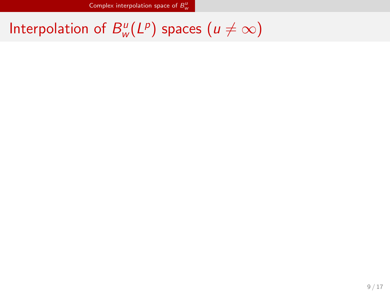Interpolation of  $B_{\mu}^{\mu}$  $w^u(\mathsf{L}^p)$  spaces  $(u \neq \infty)$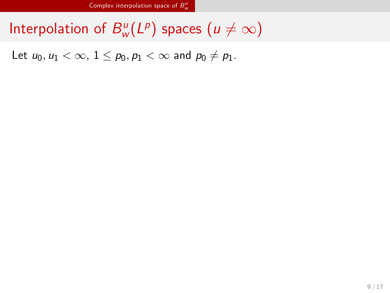Interpolation of  $B_{\mu}^{\mu}$  $w^u(\mathsf{L}^p)$  spaces  $(u \neq \infty)$ 

Let  $u_0, u_1 < \infty$ ,  $1 \le p_0, p_1 < \infty$  and  $p_0 \ne p_1$ .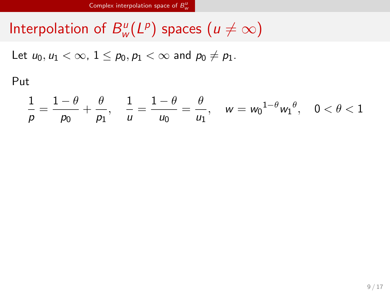Interpolation of  $B_{\mu}^{\mu}$  $w^u(\mathsf{L}^p)$  spaces  $(u \neq \infty)$ 

Let  $u_0, u_1 < \infty$ ,  $1 \le p_0, p_1 < \infty$  and  $p_0 \ne p_1$ .

Put

$$
\frac{1}{\rho}=\frac{1-\theta}{\rho_0}+\frac{\theta}{\rho_1},\quad \frac{1}{\mu}=\frac{1-\theta}{\mu_0}=\frac{\theta}{\mu_1},\quad w=w_0{}^{1-\theta}w_1{}^\theta,\quad 0<\theta<1
$$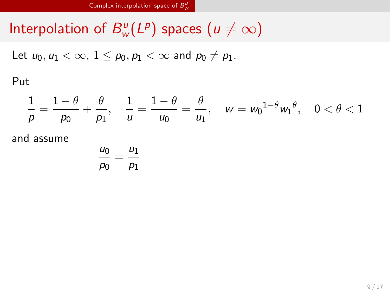Interpolation of  $B_{\mu}^{\mu}$  $w^u(\mathsf{L}^p)$  spaces  $(u \neq \infty)$ 

Let  $u_0, u_1 < \infty$ ,  $1 \le p_0, p_1 < \infty$  and  $p_0 \ne p_1$ .

Put

$$
\frac{1}{\rho}=\frac{1-\theta}{\rho_0}+\frac{\theta}{\rho_1},\quad \frac{1}{\mu}=\frac{1-\theta}{\mu_0}=\frac{\theta}{\mu_1},\quad w=w_0{}^{1-\theta}w_1{}^\theta,\quad 0<\theta<1
$$

$$
\frac{u_0}{p_0}=\frac{u_1}{p_1}
$$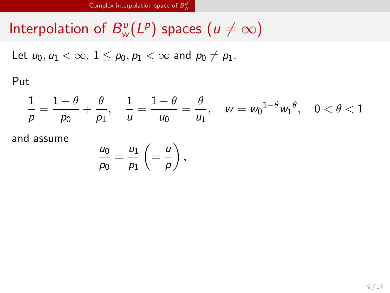Interpolation of  $B_{\mu}^{\mu}$  $w^u(\mathsf{L}^p)$  spaces  $(u \neq \infty)$ 

Let  $u_0, u_1 < \infty$ ,  $1 \le p_0, p_1 < \infty$  and  $p_0 \ne p_1$ .

Put

$$
\frac{1}{\rho} = \frac{1-\theta}{\rho_0} + \frac{\theta}{\rho_1}, \quad \frac{1}{u} = \frac{1-\theta}{u_0} = \frac{\theta}{u_1}, \quad w = w_0^{-1-\theta} w_1^{-\theta}, \quad 0 < \theta < 1
$$

$$
\frac{u_0}{p_0}=\frac{u_1}{p_1}\left(=\frac{u}{p}\right),\,
$$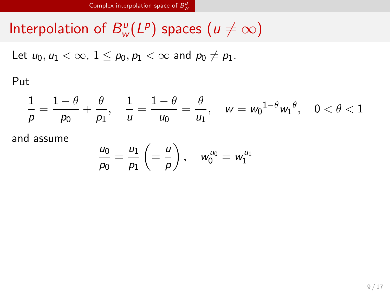Interpolation of  $B_{\mu}^{\mu}$  $w^u(\mathsf{L}^p)$  spaces  $(u \neq \infty)$ 

Let  $u_0, u_1 < \infty$ ,  $1 \le p_0, p_1 < \infty$  and  $p_0 \ne p_1$ .

Put

$$
\frac{1}{\rho} = \frac{1-\theta}{\rho_0} + \frac{\theta}{\rho_1}, \quad \frac{1}{u} = \frac{1-\theta}{u_0} = \frac{\theta}{u_1}, \quad w = w_0^{1-\theta} w_1^{\theta}, \quad 0 < \theta < 1
$$

$$
\frac{u_0}{\rho_0} = \frac{u_1}{\rho_1} \left( = \frac{u}{\rho} \right), \quad w_0^{u_0} = w_1^{u_1}
$$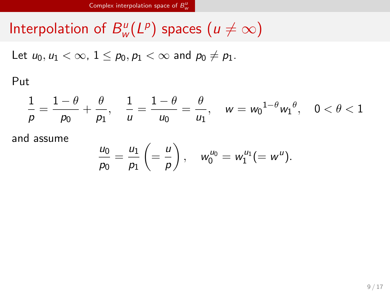Interpolation of  $B_{\mu}^{\mu}$  $w^u(\mathsf{L}^p)$  spaces  $(u \neq \infty)$ 

Let  $u_0, u_1 < \infty$ ,  $1 \le p_0, p_1 < \infty$  and  $p_0 \ne p_1$ .

Put

$$
\frac{1}{\rho} = \frac{1-\theta}{\rho_0} + \frac{\theta}{\rho_1}, \quad \frac{1}{u} = \frac{1-\theta}{u_0} = \frac{\theta}{u_1}, \quad w = w_0^{1-\theta} w_1^{\theta}, \quad 0 < \theta < 1
$$

$$
\frac{u_0}{\rho_0} = \frac{u_1}{\rho_1} \left( = \frac{u}{\rho} \right), \quad w_0^{u_0} = w_1^{u_1} (= w^u).
$$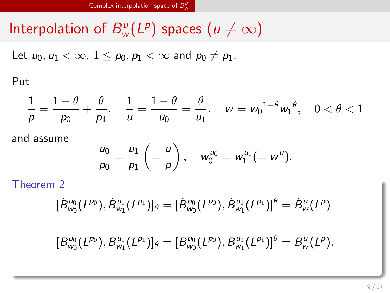Interpolation of  $B_{\mu}^{\mu}$  $w^u(\mathsf{L}^p)$  spaces  $(u \neq \infty)$ 

Let  $u_0, u_1 < \infty$ ,  $1 \le p_0, p_1 < \infty$  and  $p_0 \ne p_1$ .

Put

$$
\frac{1}{\rho}=\frac{1-\theta}{\rho_0}+\frac{\theta}{\rho_1},\quad \frac{1}{\mu}=\frac{1-\theta}{\mu_0}=\frac{\theta}{\mu_1},\quad w=w_0{}^{1-\theta}w_1{}^\theta,\quad 0<\theta<1
$$

and assume

$$
\frac{u_0}{p_0} = \frac{u_1}{p_1} \left( = \frac{u}{p} \right), \quad w_0^{u_0} = w_1^{u_1} (= w^u).
$$

Theorem 2

$$
[\dot{B}_{w_0}^{u_0}(L^{p_0}), \dot{B}_{w_1}^{u_1}(L^{p_1})]_{\theta} = [\dot{B}_{w_0}^{u_0}(L^{p_0}), \dot{B}_{w_1}^{u_1}(L^{p_1})]^{\theta} = \dot{B}_{w}^{u}(L^{p})
$$

 $[B^{u_0}_{w_0}(L^{p_0}), B^{u_1}_{w_1}(L^{p_1})]_{\theta} = [B^{u_0}_{w_0}(L^{p_0}), B^{u_1}_{w_1}(L^{p_1})]^{\theta} = B^u_w(L^p).$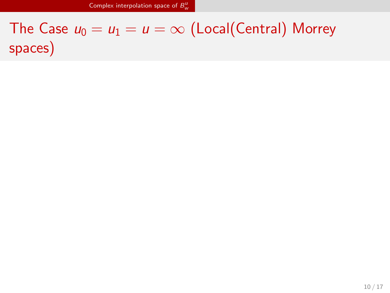The Case  $u_0 = u_1 = u = \infty$  (Local(Central) Morrey spaces)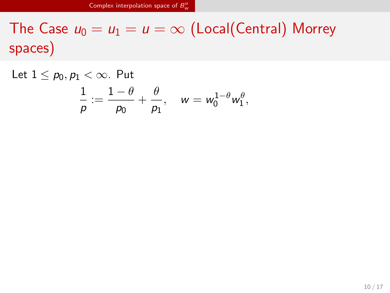The Case  $u_0 = u_1 = u = \infty$  (Local(Central) Morrey spaces)

Let  $1 \leq p_0, p_1 < \infty$ . Put 1  $\frac{1}{\rho}:=\frac{1-\theta}{\rho_0}$  $\frac{\theta}{p_0}+\frac{\theta}{p_1}$  $\frac{\partial}{\partial p_1}, \quad w = w_0^{1-\theta} w_1^{\theta},$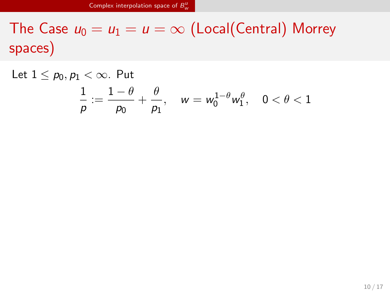The Case  $u_0 = u_1 = u = \infty$  (Local(Central) Morrey spaces)

Let  $1 \leq p_0, p_1 < \infty$ . Put 1  $\frac{1}{\rho}:=\frac{1-\theta}{\rho_0}$  $\frac{\theta}{p_0}+\frac{\theta}{p_1}$  $\frac{\partial}{\partial p_1}$ ,  $w = w_0^{1-\theta} w_1^{\theta}$ ,  $0 < \theta < 1$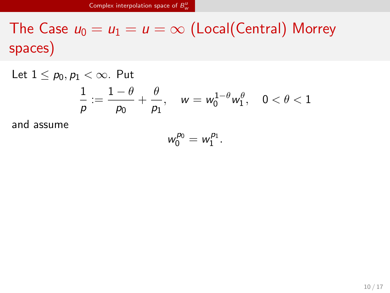The Case  $u_0 = u_1 = u = \infty$  (Local(Central) Morrey spaces)

Let  $1 \leq p_0, p_1 < \infty$ . Put

$$
\frac{1}{\rho}:=\frac{1-\theta}{\rho_0}+\frac{\theta}{\rho_1},\quad w=w_0^{1-\theta}w_1^{\theta},\quad 0<\theta<1
$$

$$
w_0^{p_0}=w_1^{p_1}.
$$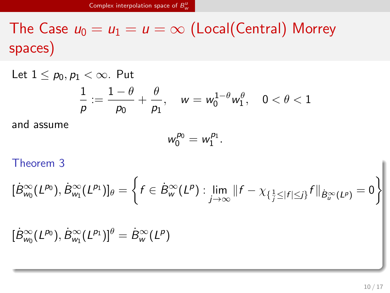The Case  $u_0 = u_1 = u = \infty$  (Local(Central) Morrey spaces)

Let  $1 \leq p_0, p_1 < \infty$ . Put

$$
\frac{1}{\rho}:=\frac{1-\theta}{\rho_0}+\frac{\theta}{\rho_1},\quad w=w_0^{1-\theta}w_1^{\theta},\quad 0<\theta<1
$$

and assume

$$
w_0^{p_0}=w_1^{p_1}.
$$

Theorem 3

$$
\begin{aligned} &\big[\dot{B}_{w_0}^{\infty}(L^{p_0}),\dot{B}_{w_1}^{\infty}(L^{p_1})\big]_{\theta}=\left\{f\in\dot{B}_{w}^{\infty}(L^{p}):\lim_{j\to\infty}\Vert f-\chi_{\{\frac{1}{j}\leq\vert f\vert\leq j\}}f\Vert_{\dot{B}_{u}^{\infty}(L^{p})}=0\right\} \\ &\big[\dot{B}_{w_0}^{\infty}(L^{p_0}),\dot{B}_{w_1}^{\infty}(L^{p_1})\big]^{\theta}=\dot{B}_{w}^{\infty}(L^{p})\end{aligned}
$$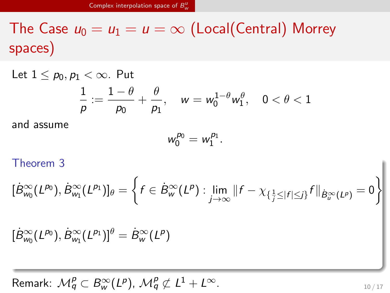The Case  $u_0 = u_1 = u = \infty$  (Local(Central) Morrey spaces)

Let  $1 \leq p_0, p_1 < \infty$ . Put

$$
\frac{1}{\rho}:=\frac{1-\theta}{\rho_0}+\frac{\theta}{\rho_1},\quad w=w_0^{1-\theta}w_1^{\theta},\quad 0<\theta<1
$$

and assume

$$
w_0^{p_0}=w_1^{p_1}.
$$

Theorem 3

$$
\begin{aligned} &[\dot{B}^{\infty}_{w_0}(L^{p_0}),\dot{B}^{\infty}_{w_1}(L^{p_1})]_{\theta}=\bigg\{f\in\dot{B}^{\infty}_{w}(L^{p}):\lim_{j\rightarrow\infty}\Vert f-\chi_{\{\frac{1}{j}\leq\vert f\vert\leq j\}}f\Vert_{\dot{B}^{\infty}_{u}(L^{p})}=0\bigg\}\\ &[\dot{B}^{\infty}_{w_0}(L^{p_0}),\dot{B}^{\infty}_{w_1}(L^{p_1})]^{\theta}=\dot{B}^{\infty}_{w}(L^{p})\end{aligned}
$$

 $\mathcal{M}_q^p \subset B_{\mathsf{w}}^{\infty}(L^p)$ ,  $\mathcal{M}_q^p \not\subset L^1 + L^{\infty}$ .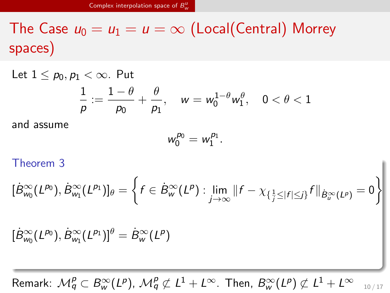The Case  $u_0 = u_1 = u = \infty$  (Local(Central) Morrey spaces)

Let  $1 \leq p_0, p_1 < \infty$ . Put

$$
\frac{1}{\rho}:=\frac{1-\theta}{\rho_0}+\frac{\theta}{\rho_1},\quad w=w_0^{1-\theta}w_1^{\theta},\quad 0<\theta<1
$$

and assume

$$
w_0^{p_0}=w_1^{p_1}.
$$

Theorem 3

$$
\begin{aligned} &\big[\dot{B}_{w_0}^{\infty}(L^{p_0}),\dot{B}_{w_1}^{\infty}(L^{p_1})\big]_{\theta}=\bigg\{f\in\dot{B}_w^{\infty}(L^p):\lim_{j\rightarrow\infty}\Vert f-\chi_{\{\frac{1}{j}\leq\vert f\vert\leq j\}}f\Vert_{\dot{B}_w^{\infty}(L^p)}=0\bigg\}\\ &\big[\dot{B}_{w_0}^{\infty}(L^{p_0}),\dot{B}_{w_1}^{\infty}(L^{p_1})\big]^{\theta}=\dot{B}_w^{\infty}(L^p)\end{aligned}
$$

Remark:  $\mathcal{M}^p_q\subset B^\infty_w(L^p)$ ,  $\mathcal{M}^p_q\not\subset L^1+L^\infty$ . Then,  $B^\infty_w(L^p)\not\subset L^1+L^\infty$  10/17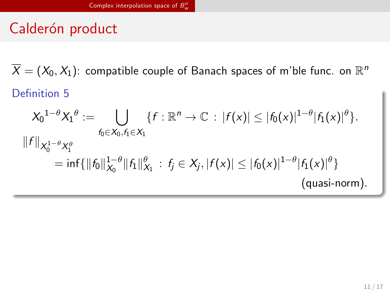Calderón product

 $\overline{X} = (X_0, X_1)$ : compatible couple of Banach spaces of m'ble func. on  $\mathbb{R}^n$ 

## Definition 5

$$
X_0^{1-\theta}X_1^{\theta} := \bigcup_{f_0 \in X_0, f_1 \in X_1} \{f : \mathbb{R}^n \to \mathbb{C} : |f(x)| \leq |f_0(x)|^{1-\theta} |f_1(x)|^{\theta}\}.
$$
  

$$
||f||_{X_0^{1-\theta}X_1^{\theta}}
$$
  

$$
= inf{||f_0||_{X_0}^{1-\theta}||f_1||_{X_1}^{\theta}} : f_j \in X_j, |f(x)| \leq |f_0(x)|^{1-\theta} |f_1(x)|^{\theta}\}
$$
  
(quasi-norm).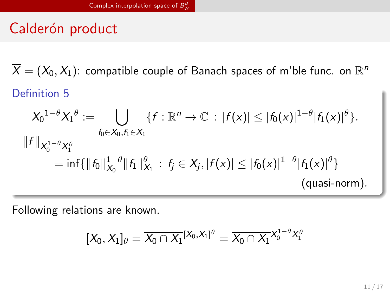Calderón product

 $\overline{X} = (X_0, X_1)$ : compatible couple of Banach spaces of m'ble func. on  $\mathbb{R}^n$ 

Definition 5

$$
X_0^{1-\theta}X_1^{\theta} := \bigcup_{f_0 \in X_0, f_1 \in X_1} \{f : \mathbb{R}^n \to \mathbb{C} : |f(x)| \leq |f_0(x)|^{1-\theta} |f_1(x)|^{\theta}\}.
$$
  

$$
||f||_{X_0^{1-\theta}X_1^{\theta}}
$$
  
= inf{||f\_0||\_{X\_0}^{1-\theta}||f\_1||\_{X\_1}^{\theta}} : f\_j \in X\_j, |f(x)| \leq |f\_0(x)|^{1-\theta} |f\_1(x)|^{\theta}\}  
(quasi-norm).

Following relations are known.

 $[X_0, X_1]_{\theta} = \overline{X_0 \cap X_1}^{[X_0, X_1]^{\theta}} = \overline{X_0 \cap X_1}^{X_0^{1 - \theta} X_1^{\theta}}$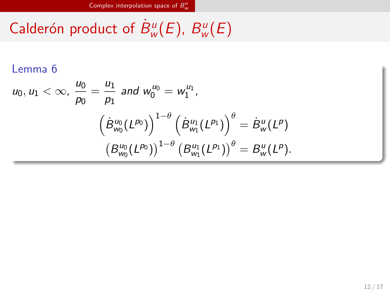Calderón product of  $\dot{B}^u_w(E)$ ,  $B^u_w$ *w* (*E*)

Lemma 6  
\n
$$
u_0, u_1 < \infty, \ \frac{u_0}{p_0} = \frac{u_1}{p_1}
$$
 and  $w_0^{u_0} = w_1^{u_1}$ ,  
\n
$$
\left(\dot{B}_{w_0}^{u_0}(L^{p_0})\right)^{1-\theta} \left(\dot{B}_{w_1}^{u_1}(L^{p_1})\right)^{\theta} = \dot{B}_w^u(L^p)
$$
\n
$$
\left(B_{w_0}^{u_0}(L^{p_0})\right)^{1-\theta} \left(B_{w_1}^{u_1}(L^{p_1})\right)^{\theta} = B_w^u(L^p).
$$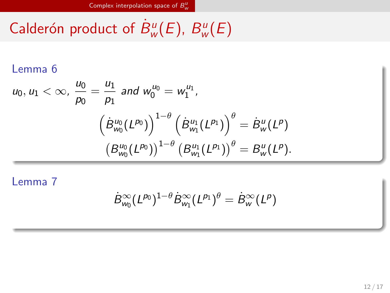Calderón product of  $\dot{B}^u_w(E)$ ,  $B^u_w$ *w* (*E*)

Lemma 6

$$
u_0, u_1 < \infty, \frac{u_0}{p_0} = \frac{u_1}{p_1} \text{ and } w_0^{u_0} = w_1^{u_1},
$$

$$
\left(\dot{B}_{w_0}^{u_0}(L^{p_0})\right)^{1-\theta} \left(\dot{B}_{w_1}^{u_1}(L^{p_1})\right)^{\theta} = \dot{B}_{w}^{u}(L^{p})
$$

$$
\left(B_{w_0}^{u_0}(L^{p_0})\right)^{1-\theta} \left(B_{w_1}^{u_1}(L^{p_1})\right)^{\theta} = B_{w}^{u}(L^{p}).
$$

Lemma 7

$$
\dot{B}^{\infty}_{w_0} (L^{p_0})^{1-\theta} \dot{B}^{\infty}_{w_1} (L^{p_1})^{\theta} = \dot{B}^{\infty}_w (L^p)
$$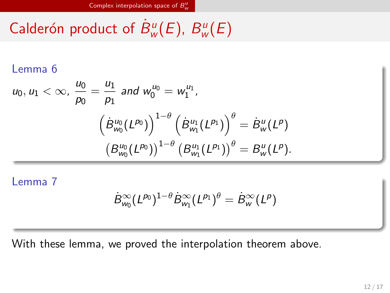Calderón product of  $\dot{B}^u_w(E)$ ,  $B^u_w$ *w* (*E*)

Lemma 6

$$
u_0, u_1 < \infty, \frac{u_0}{p_0} = \frac{u_1}{p_1} \text{ and } w_0^{u_0} = w_1^{u_1},
$$

$$
\left(\dot{B}_{w_0}^{u_0}(L^{p_0})\right)^{1-\theta} \left(\dot{B}_{w_1}^{u_1}(L^{p_1})\right)^{\theta} = \dot{B}_{w}^{u}(L^{p})
$$

$$
\left(B_{w_0}^{u_0}(L^{p_0})\right)^{1-\theta} \left(B_{w_1}^{u_1}(L^{p_1})\right)^{\theta} = B_{w}^{u}(L^{p}).
$$

Lemma 7

$$
\dot{B}^{\infty}_{w_0} (L^{p_0})^{1-\theta} \dot{B}^{\infty}_{w_1} (L^{p_1})^{\theta} = \dot{B}^{\infty}_{w} (L^{p})
$$

With these lemma, we proved the interpolation theorem above.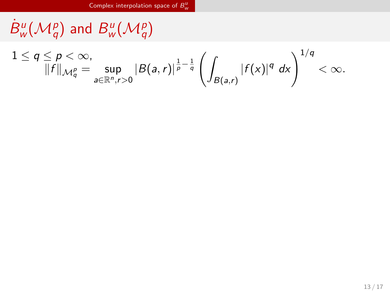$\dot{B}^u_w(\mathcal{M}^p_q)$  and  $B^u_w$  $w(W_q^u)$ 

$$
1\leq q\leq p<\infty,
$$
  

$$
\|f\|_{\mathcal{M}_q^p}=\sup_{a\in\mathbb{R}^n,r>0}|B(a,r)|^{\frac{1}{p}-\frac{1}{q}}\left(\int_{B(a,r)}|f(x)|^q\ dx\right)^{1/q}<\infty.
$$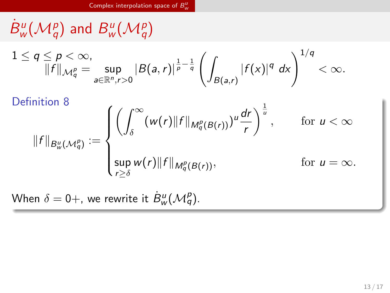$$
\dot{B}_{w}^{u}(\mathcal{M}_{q}^{p}) \text{ and } B_{w}^{u}(\mathcal{M}_{q}^{p})
$$
\n
$$
1 \leq q \leq p < \infty, \quad \|\mathbf{f}\|_{\mathcal{M}_{q}^{p}} = \sup_{a \in \mathbb{R}^{n}, r > 0} |B(a, r)|^{\frac{1}{p} - \frac{1}{q}} \left( \int_{B(a, r)} |\mathbf{f}(x)|^{q} dx \right)^{1/q} < \infty.
$$
\n
$$
\text{Definition 8}
$$
\n
$$
\|\mathbf{f}\|_{B_{w}^{u}(\mathcal{M}_{q}^{p})} := \begin{cases} \left( \int_{\delta}^{\infty} (w(r) \|\mathbf{f}\|_{\mathcal{M}_{q}^{p}(B(r))})^{u} \frac{dr}{r} \right)^{\frac{1}{u}}, & \text{for } u < \infty \\ \sup_{r \geq \delta} w(r) \|\mathbf{f}\|_{\mathcal{M}_{q}^{p}(B(r))}, & \text{for } u = \infty. \end{cases}
$$

When  $\delta = 0+$ , we rewrite it  $\dot{B}^u_w(\mathcal{M}^p_q)$ .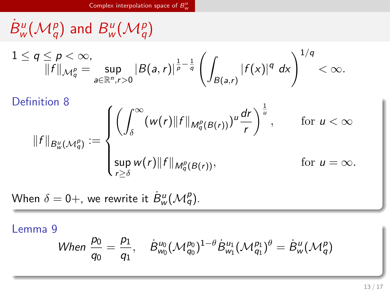$$
\dot{B}_{w}^{u}(\mathcal{M}_{q}^{p}) \text{ and } B_{w}^{u}(\mathcal{M}_{q}^{p})
$$
\n
$$
1 \leq q \leq p < \infty,
$$
\n
$$
\|f\|_{\mathcal{M}_{q}^{p}} = \sup_{a \in \mathbb{R}^{n}, r > 0} |B(a, r)|^{\frac{1}{p} - \frac{1}{q}} \left( \int_{B(a, r)} |f(x)|^{q} dx \right)^{1/q} < \infty.
$$
\n
$$
\text{Definition 8}
$$
\n
$$
\|f\|_{B_{w}^{u}(\mathcal{M}_{q}^{p})} := \begin{cases} \left( \int_{\delta}^{\infty} (w(r) \|f\|_{\mathcal{M}_{q}^{p}(B(r))})^{u} \frac{dr}{r} \right)^{\frac{1}{u}}, & \text{for } u < \infty \\ \sup_{r \geq \delta} w(r) \|f\|_{\mathcal{M}_{q}^{p}(B(r))}, & \text{for } u = \infty. \end{cases}
$$

When  $\delta = 0+$ , we rewrite it  $\dot{B}^u_w(\mathcal{M}^p_q)$ .

Lemma 9

When 
$$
\frac{p_0}{q_0} = \frac{p_1}{q_1}
$$
,  $\dot{B}_{w_0}^{u_0} (\mathcal{M}_{q_0}^{p_0})^{1-\theta} \dot{B}_{w_1}^{u_1} (\mathcal{M}_{q_1}^{p_1})^{\theta} = \dot{B}_{w}^{u} (\mathcal{M}_{q}^{p})$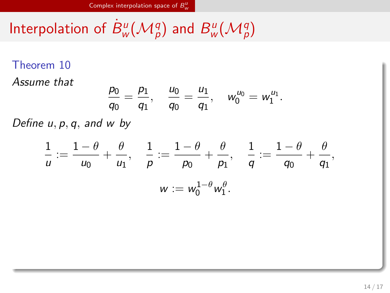Interpolation of  $\dot{B}^u_{\rm w}(\mathcal{M}^q_{\rm p})$  and  $B^u_{\rm w}$  $w^u(\mathcal{M}_p^q)$ 

Theorem 10  
\nAssume that  
\n
$$
\frac{p_0}{q_0} = \frac{p_1}{q_1}, \quad \frac{u_0}{q_0} = \frac{u_1}{q_1}, \quad w_0^{u_0} = w_1^{u_1}.
$$
  
\nDefine  $u, p, q$ , and  $w$  by  
\n $\frac{1}{u} := \frac{1 - \theta}{u_0} + \frac{\theta}{u_1}, \quad \frac{1}{p} := \frac{1 - \theta}{p_0} + \frac{\theta}{p_1}, \quad \frac{1}{q} := \frac{1 - \theta}{q_0} + \frac{\theta}{q_1},$   
\n $w := w_0^{1 - \theta} w_1^{\theta}.$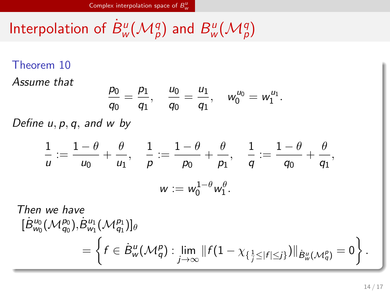Interpolation of  $\dot{B}^u_{\rm w}(\mathcal{M}^q_{\rm p})$  and  $B^u_{\rm w}$  $w^u(\mathcal{M}_p^q)$ 

Theorem 10  
\nAssume that  
\n
$$
\frac{p_0}{q_0} = \frac{p_1}{q_1}, \quad \frac{u_0}{q_0} = \frac{u_1}{q_1}, \quad w_0^{u_0} = w_1^{u_1}.
$$
\nDefine  $u, p, q$ , and  $w$  by  
\n
$$
\frac{1}{u} := \frac{1 - \theta}{u_0} + \frac{\theta}{u_1}, \quad \frac{1}{p} := \frac{1 - \theta}{p_0} + \frac{\theta}{p_1}, \quad \frac{1}{q} := \frac{1 - \theta}{q_0} + \frac{\theta}{q_1},
$$
\n
$$
w := w_0^{1 - \theta} w_1^{\theta}.
$$
\nThen we have  
\n
$$
[\dot{B}_{w_0}^{u_0}(M_{q_0}^{p_0}), \dot{B}_{w_1}^{u_1}(M_{q_1}^{p_1})]_{\theta}
$$
\n
$$
= \left\{ f \in \dot{B}_{w}^{u}(M_{q}^{p}) : \lim_{j \to \infty} ||f(1 - \chi_{\{\frac{1}{j} \leq |f| \leq j\}})||_{\dot{B}_{w}^{u}(M_{q}^{p})} = 0 \right\}
$$

*.*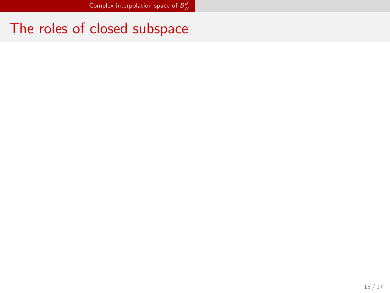The roles of closed subspace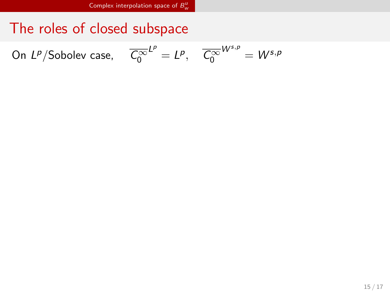The roles of closed subspace

On *L<sup>p</sup>*/Sobolev case,  $\overline{C_0^{\infty}}$ 

$$
L^p = L^p, \quad \overline{C_0^{\infty}}^{W^{s,p}} = W^{s,p}
$$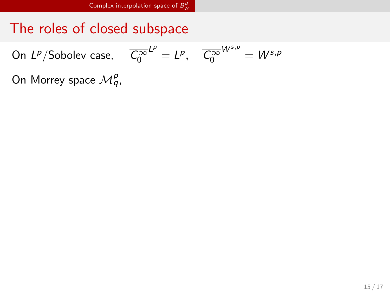The roles of closed subspace

On *L<sup>p</sup>*/Sobolev case,  $\overline{C_0^{\infty}}$ 

$$
L^p = L^p, \quad \overline{C_0^{\infty}}^{W^{s,p}} = W^{s,p}
$$

On Morrey space  $\mathcal{M}_q^p$ ,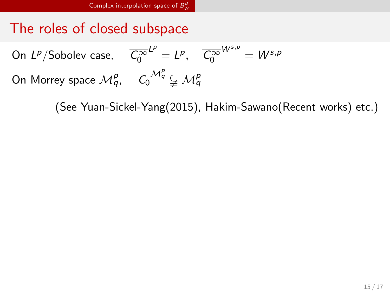The roles of closed subspace

On *L<sup>p</sup>*/Sobolev case,  $\overline{C_0^{\infty}}$  $L^p = L^p$ ,  $\overline{C_0^{\infty}}$  $W^{s,p} = W^{s,p}$ On Morrey space  $\mathcal{M}^p_q$ ,  $\overline{\mathcal{C}_0}^{\mathcal{M}^p_q} \subsetneqq \mathcal{M}^p_q$ 

(See Yuan-Sickel-Yang(2015), Hakim-Sawano(Recent works) etc.)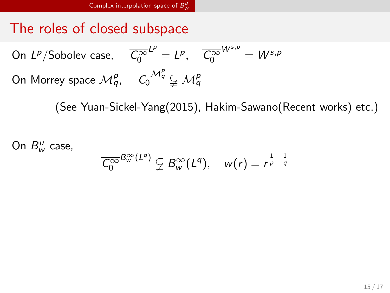The roles of closed subspace

On *L<sup>p</sup>*/Sobolev case,  $\overline{C_0^{\infty}}$  $L^p = L^p$ ,  $\overline{C_0^{\infty}}$  $W^{s,p} = W^{s,p}$ On Morrey space  $\mathcal{M}^p_q$ ,  $\overline{\mathcal{C}_0}^{\mathcal{M}^p_q} \subsetneqq \mathcal{M}^p_q$ 

(See Yuan-Sickel-Yang(2015), Hakim-Sawano(Recent works) etc.)

On  $B^u_w$  case,

$$
\overline{\mathcal{C}_0^{\infty}}^{B_{w}^{\infty}(L^q)} \subsetneqq B_{w}^{\infty}(L^q), \quad w(r) = r^{\frac{1}{p} - \frac{1}{q}}
$$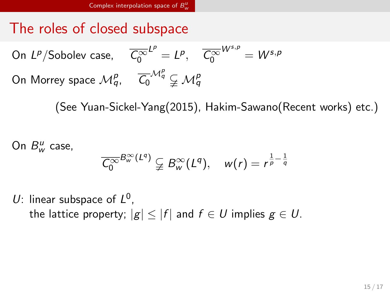The roles of closed subspace

On *L<sup>p</sup>*/Sobolev case,  $\overline{C_0^{\infty}}$  $L^p = L^p$ ,  $\overline{C_0^{\infty}}$  $W^{s,p} = W^{s,p}$ On Morrey space  $\mathcal{M}^p_q$ ,  $\overline{\mathcal{C}_0}^{\mathcal{M}^p_q} \subsetneqq \mathcal{M}^p_q$ 

(See Yuan-Sickel-Yang(2015), Hakim-Sawano(Recent works) etc.)

On  $B^u_w$  case,

$$
\overline{\mathcal{C}_0^{\infty}}^{B_{w}^{\infty}(L^q)} \subsetneq B_{w}^{\infty}(L^q), \quad w(r) = r^{\frac{1}{p} - \frac{1}{q}}
$$

U: linear subspace of  $L^0$ ,

the lattice property;  $|g| \leq |f|$  and  $f \in U$  implies  $g \in U$ .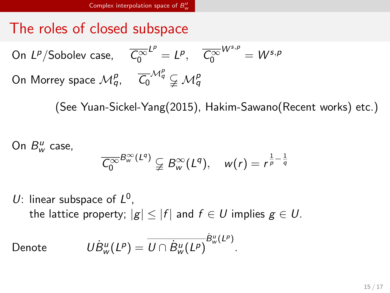# The roles of closed subspace

On *L<sup>p</sup>*/Sobolev case,  $\overline{C_0^{\infty}}$  $L^p = L^p$ ,  $\overline{C_0^{\infty}}$  $W^{s,p} = W^{s,p}$ On Morrey space  $\mathcal{M}^p_q$ ,  $\overline{\mathcal{C}_0}^{\mathcal{M}^p_q} \subsetneqq \mathcal{M}^p_q$ 

(See Yuan-Sickel-Yang(2015), Hakim-Sawano(Recent works) etc.)

On  $B^u_w$  case,

$$
\overline{\zeta_0^{\infty}}^{B_{w}^{\infty}(L^q)} \subsetneq B_{w}^{\infty}(L^q), \quad w(r) = r^{\frac{1}{p} - \frac{1}{q}}
$$

U: linear subspace of  $L^0$ ,

the lattice property;  $|g| \leq |f|$  and  $f \in U$  implies  $g \in U$ .

 $Denote$ 

 $B^u_w(L^p) = U \cap \dot{B}^u_w(L^p)$  $\dot{B}^u_w(L^p)$ .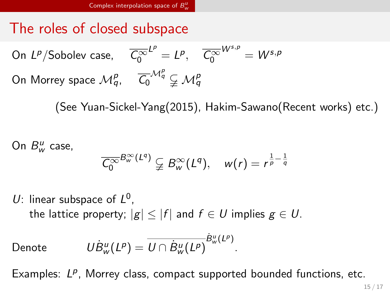The roles of closed subspace

On *L<sup>p</sup>*/Sobolev case,  $\overline{C_0^{\infty}}$  $L^p = L^p$ ,  $\overline{C_0^{\infty}}$  $W^{s,p} = W^{s,p}$ On Morrey space  $\mathcal{M}^p_q$ ,  $\overline{\mathcal{C}_0}^{\mathcal{M}^p_q} \subsetneqq \mathcal{M}^p_q$ 

(See Yuan-Sickel-Yang(2015), Hakim-Sawano(Recent works) etc.)

On  $B^u_w$  case,

$$
\overline{\mathcal{C}_0^{\infty}}^{B_{w}^{\infty}(L^q)} \subsetneq B_{w}^{\infty}(L^q), \quad w(r) = r^{\frac{1}{p} - \frac{1}{q}}
$$

U: linear subspace of  $L^0$ ,

the lattice property;  $|g| \leq |f|$  and  $f \in U$  implies  $g \in U$ .

 $Denote$ 

 $B^u_w(L^p) = U \cap \dot{B}^u_w(L^p)$  $\dot{B}^u_w(L^p)$ .

Examples: L<sup>p</sup>, Morrey class, compact supported bounded functions, etc.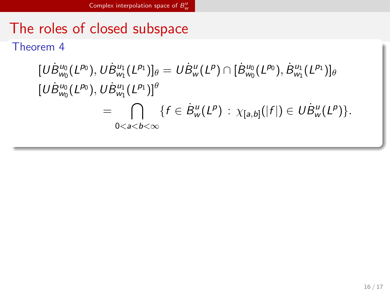The roles of closed subspace Theorem 4

$$
\begin{aligned} [U\dot{B}_{w_0}^{u_0}(L^{p_0}),U\dot{B}_{w_1}^{u_1}(L^{p_1})]_{\theta} &= U\dot{B}_{w}^{u}(L^{p})\cap[\dot{B}_{w_0}^{u_0}(L^{p_0}),\dot{B}_{w_1}^{u_1}(L^{p_1})]_{\theta} \\ [U\dot{B}_{w_0}^{u_0}(L^{p_0}),U\dot{B}_{w_1}^{u_1}(L^{p_1})]^{\theta} \\ &= \bigcap_{0
$$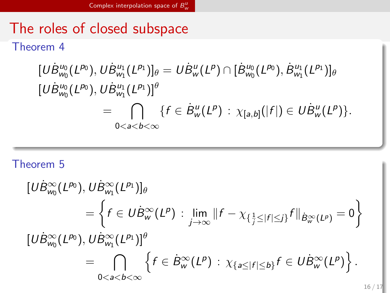## The roles of closed subspace Theorem 4

$$
\begin{aligned} [U\dot{B}^{u_0}_{w_0}(L^{p_0}),U\dot{B}^{u_1}_{w_1}(L^{p_1})]_{\theta} &= U\dot{B}^{u}_{w}(L^{p})\cap[\dot{B}^{u_0}_{w_0}(L^{p_0}),\dot{B}^{u_1}_{w_1}(L^{p_1})]_{\theta} \\ [U\dot{B}^{u_0}_{w_0}(L^{p_0}),U\dot{B}^{u_1}_{w_1}(L^{p_1})]^{\theta} \\ &= \bigcap_{0
$$

## Theorem 5

$$
\begin{aligned}\n[U\dot{B}_{w_0}^{\infty}(L^{p_0}), U\dot{B}_{w_1}^{\infty}(L^{p_1})]_{\theta} \\
&= \left\{ f \in U\dot{B}_{w}^{\infty}(L^p) : \lim_{j \to \infty} ||f - \chi_{\{\frac{1}{j} \leq |f| \leq j\}} f||_{\dot{B}_{w}^{\infty}(L^p)} = 0 \right\} \\
[U\dot{B}_{w_0}^{\infty}(L^{p_0}), U\dot{B}_{w_1}^{\infty}(L^{p_1})]_{\theta}^{\theta} \\
&= \bigcap_{0 < a < b < \infty} \left\{ f \in \dot{B}_{w}^{\infty}(L^p) : \chi_{\{a \leq |f| \leq b\}} f \in U\dot{B}_{w}^{\infty}(L^p) \right\}.\n\end{aligned}
$$